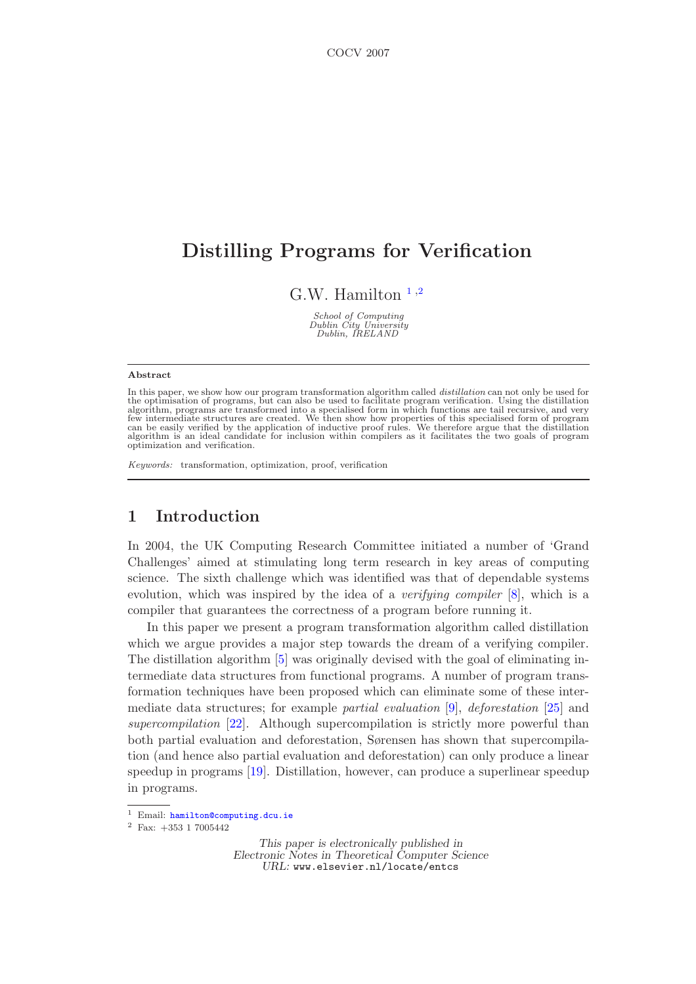# Distilling Programs for Verification

G.W. Hamilton  $<sup>1,2</sup>$  $<sup>1,2</sup>$  $<sup>1,2</sup>$  $<sup>1,2</sup>$  $<sup>1,2</sup>$ </sup>

School of Computing Dublin City University Dublin, IRELAND

#### Abstract

In this paper, we show how our program transformation algorithm called  $distillation$  can not only be used for the optimisation of programs, but can also be used to facilitate program verification. Using the distillation algorithm, optimization and verification.

Keywords: transformation, optimization, proof, verification

# 1 Introduction

In 2004, the UK Computing Research Committee initiated a number of 'Grand Challenges' aimed at stimulating long term research in key areas of computing science. The sixth challenge which was identified was that of dependable systems evolution, which was inspired by the idea of a *verifying compiler* [\[8\]](#page-14-0), which is a compiler that guarantees the correctness of a program before running it.

In this paper we present a program transformation algorithm called distillation which we argue provides a major step towards the dream of a verifying compiler. The distillation algorithm [\[5\]](#page-14-1) was originally devised with the goal of eliminating intermediate data structures from functional programs. A number of program transformation techniques have been proposed which can eliminate some of these intermediate data structures; for example partial evaluation [\[9\]](#page-14-2), deforestation [\[25\]](#page-14-3) and supercompilation [\[22\]](#page-14-4). Although supercompilation is strictly more powerful than both partial evaluation and deforestation, Sørensen has shown that supercompilation (and hence also partial evaluation and deforestation) can only produce a linear speedup in programs [\[19\]](#page-14-5). Distillation, however, can produce a superlinear speedup in programs.

This paper is electronically published in Electronic Notes in Theoretical Computer Science URL: www.elsevier.nl/locate/entcs

<sup>1</sup> Email: [hamilton@computing.dcu.ie](mailto:hamilton@computing.dcu.ie)

<sup>2</sup> Fax: +353 1 7005442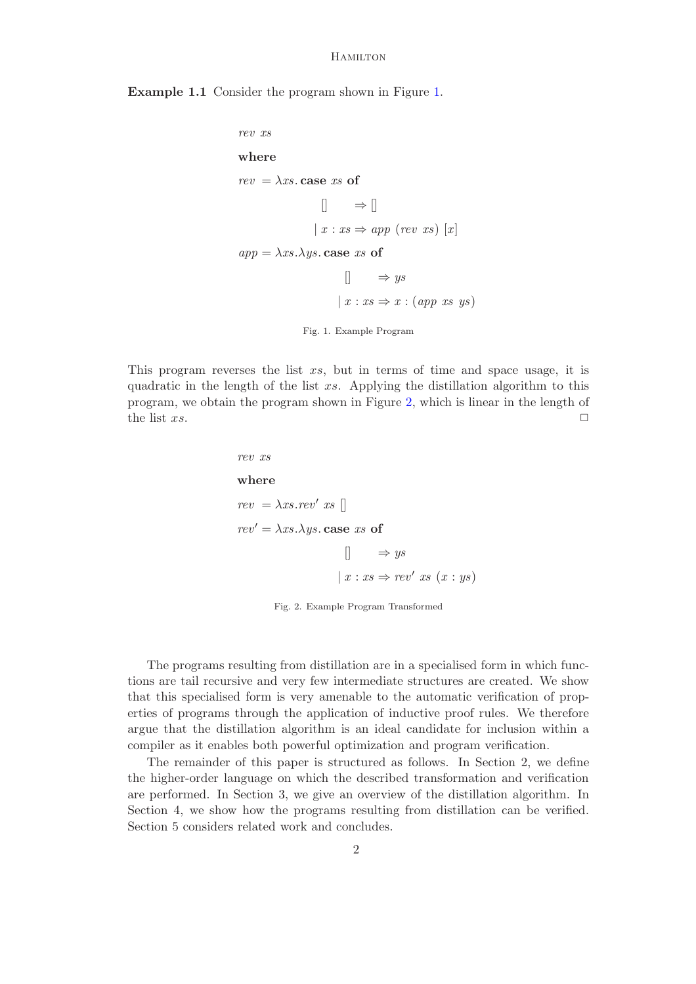Example 1.1 Consider the program shown in Figure [1.](#page-1-0)

```
rev xs
where
rev = \lambda xs case xs of
                   \Box \Rightarrow \Box|x: xs \Rightarrow app (rev xs) [x]app = \lambda xs.\lambda ys. case xs of
                         \Box \Rightarrow ys
                       |x: xs \Rightarrow x : (app xs ys)Fig. 1. Example Program
```
This program reverses the list xs, but in terms of time and space usage, it is quadratic in the length of the list xs. Applying the distillation algorithm to this program, we obtain the program shown in Figure [2,](#page-1-1) which is linear in the length of the list  $xs$ .

> <span id="page-1-0"></span>rev xs where  $rev = \lambda xs. rev' xs$  $rev' = \lambda xs.\lambda ys.$  case xs of  $\Box$   $\Rightarrow$  ys  $x : xs \Rightarrow rev' xs (x : ys)$

> > <span id="page-1-1"></span>Fig. 2. Example Program Transformed

The programs resulting from distillation are in a specialised form in which functions are tail recursive and very few intermediate structures are created. We show that this specialised form is very amenable to the automatic verification of properties of programs through the application of inductive proof rules. We therefore argue that the distillation algorithm is an ideal candidate for inclusion within a compiler as it enables both powerful optimization and program verification.

The remainder of this paper is structured as follows. In Section 2, we define the higher-order language on which the described transformation and verification are performed. In Section 3, we give an overview of the distillation algorithm. In Section 4, we show how the programs resulting from distillation can be verified. Section 5 considers related work and concludes.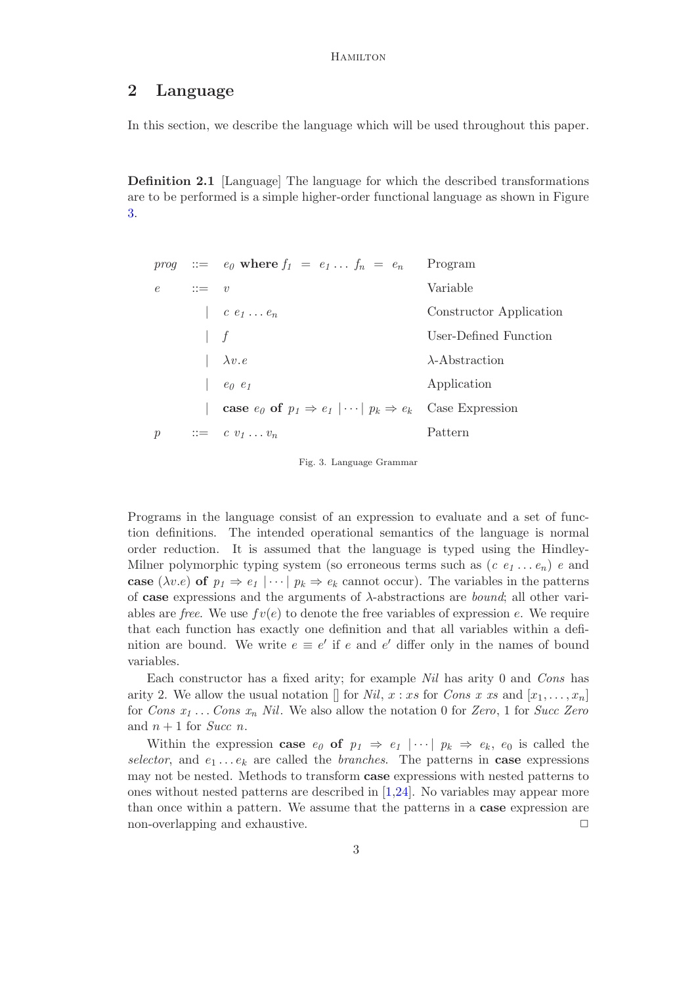# 2 Language

In this section, we describe the language which will be used throughout this paper.

Definition 2.1 [Language] The language for which the described transformations are to be performed is a simple higher-order functional language as shown in Figure [3.](#page-2-0)

|               |          | <i>prog</i> $\therefore$ $\qquad e_0$ where $f_1 = e_1 \dots f_n = e_n$                         | Program                 |
|---------------|----------|-------------------------------------------------------------------------------------------------|-------------------------|
| $e -$         | $ ::= v$ |                                                                                                 | Variable                |
|               |          | $\begin{array}{c} \n\cdot & c \cdot e_1 \cdot \cdot \cdot e_n\n\end{array}$                     | Constructor Application |
|               |          | $\overline{f}$                                                                                  | User-Defined Function   |
|               |          | $\lambda v.e$                                                                                   | $\lambda$ -Abstraction  |
|               |          | $e_0$ $e_1$                                                                                     | Application             |
|               |          | <b>case</b> $e_0$ of $p_1 \Rightarrow e_1 \mid \cdots \mid p_k \Rightarrow e_k$ Case Expression |                         |
| $\mathcal{p}$ |          | $\mathrel{\mathop:}=$ $c \, v_1 \ldots v_n$                                                     | Pattern                 |

<span id="page-2-0"></span>Fig. 3. Language Grammar

Programs in the language consist of an expression to evaluate and a set of function definitions. The intended operational semantics of the language is normal order reduction. It is assumed that the language is typed using the Hindley-Milner polymorphic typing system (so erroneous terms such as  $(c \, e_1 \ldots e_n)$ ) e and case ( $\lambda v.e$ ) of  $p_1 \Rightarrow e_1 \mid \cdots \mid p_k \Rightarrow e_k$  cannot occur). The variables in the patterns of case expressions and the arguments of  $\lambda$ -abstractions are *bound*; all other variables are free. We use  $fv(e)$  to denote the free variables of expression e. We require that each function has exactly one definition and that all variables within a definition are bound. We write  $e \equiv e'$  if e and e' differ only in the names of bound variables.

Each constructor has a fixed arity; for example Nil has arity 0 and Cons has arity 2. We allow the usual notation  $\parallel$  for Nil, x : xs for Cons x xs and  $[x_1, \ldots, x_n]$ for Cons  $x_1 \ldots$  Cons  $x_n$  Nil. We also allow the notation 0 for Zero, 1 for Succ Zero and  $n + 1$  for *Succ n*.

Within the expression **case**  $e_0$  of  $p_1 \Rightarrow e_1 \mid \cdots \mid p_k \Rightarrow e_k$ ,  $e_0$  is called the selector, and  $e_1 \ldots e_k$  are called the *branches*. The patterns in **case** expressions may not be nested. Methods to transform case expressions with nested patterns to ones without nested patterns are described in [\[1](#page-14-6)[,24\]](#page-14-7). No variables may appear more than once within a pattern. We assume that the patterns in a case expression are non-overlapping and exhaustive.  $\Box$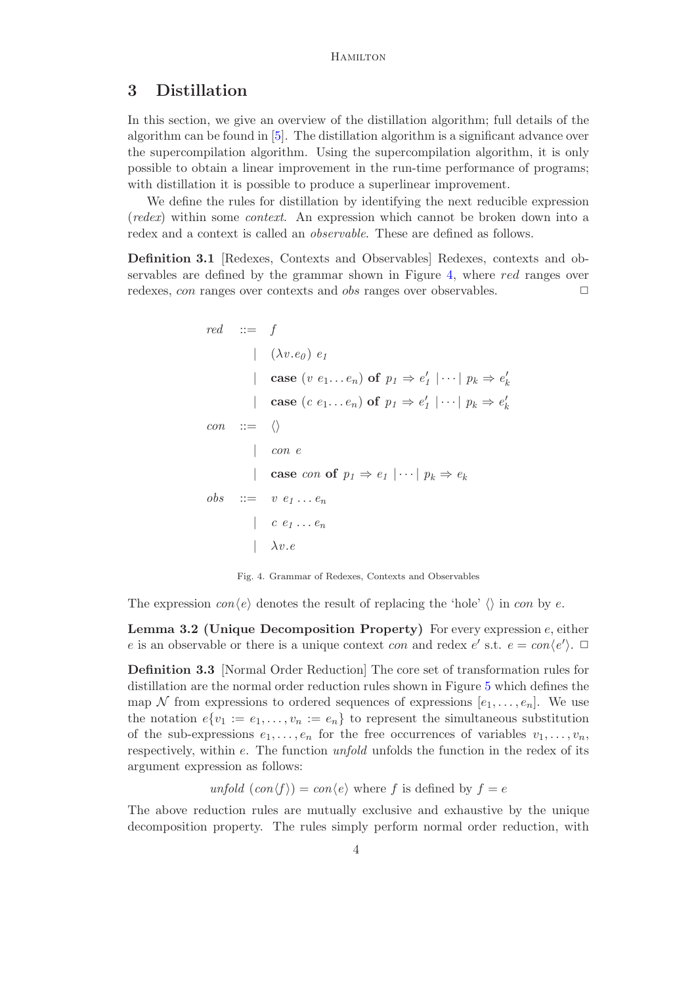## 3 Distillation

In this section, we give an overview of the distillation algorithm; full details of the algorithm can be found in [\[5\]](#page-14-1). The distillation algorithm is a significant advance over the supercompilation algorithm. Using the supercompilation algorithm, it is only possible to obtain a linear improvement in the run-time performance of programs; with distillation it is possible to produce a superlinear improvement.

We define the rules for distillation by identifying the next reducible expression (redex) within some context. An expression which cannot be broken down into a redex and a context is called an observable. These are defined as follows.

Definition 3.1 [Redexes, Contexts and Observables] Redexes, contexts and observables are defined by the grammar shown in Figure [4,](#page-3-0) where red ranges over redexes, *con* ranges over contexts and *obs* ranges over observables.

$$
red ::= f
$$
\n
$$
|\quad (\lambda v.e_0) e_1
$$
\n
$$
|\quad \text{case } (v e_1 ... e_n) \text{ of } p_1 \Rightarrow e'_1 | \cdots | p_k \Rightarrow e
$$
\n
$$
|\quad \text{case } (c e_1 ... e_n) \text{ of } p_1 \Rightarrow e'_1 | \cdots | p_k \Rightarrow e
$$
\n
$$
con ::= \langle \rangle
$$
\n
$$
|\quad \text{con } e
$$
\n
$$
|\quad \text{case } con \text{ of } p_1 \Rightarrow e_1 | \cdots | p_k \Rightarrow e_k
$$
\n
$$
obs ::= v e_1 ... e_n
$$
\n
$$
|\quad c e_1 ... e_n
$$
\n
$$
|\quad \lambda v.e
$$

 $\frac{\prime}{k}$ 

′ k

<span id="page-3-0"></span>Fig. 4. Grammar of Redexes, Contexts and Observables

The expression  $con\langle e \rangle$  denotes the result of replacing the 'hole'  $\langle \rangle$  in con by e.

**Lemma 3.2 (Unique Decomposition Property)** For every expression  $e$ , either e is an observable or there is a unique context *con* and redex  $e'$  s.t.  $e = con\langle e' \rangle$ .

Definition 3.3 [Normal Order Reduction] The core set of transformation rules for distillation are the normal order reduction rules shown in Figure [5](#page-4-0) which defines the map N from expressions to ordered sequences of expressions  $[e_1, \ldots, e_n]$ . We use the notation  $e\{v_1 := e_1, \ldots, v_n := e_n\}$  to represent the simultaneous substitution of the sub-expressions  $e_1, \ldots, e_n$  for the free occurrences of variables  $v_1, \ldots, v_n$ , respectively, within e. The function unfold unfolds the function in the redex of its argument expression as follows:

unfold  $(\text{con}(f)) = \text{con}(e)$  where f is defined by  $f = e$ 

The above reduction rules are mutually exclusive and exhaustive by the unique decomposition property. The rules simply perform normal order reduction, with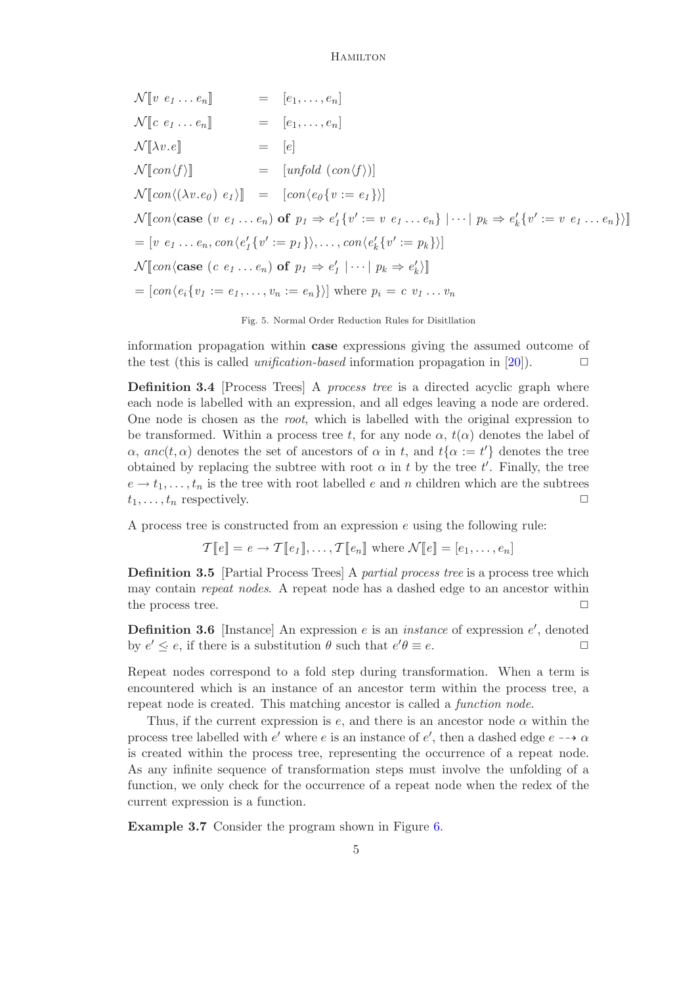$$
\mathcal{N}[v \ e_1 \dots e_n] \quad = [e_1, \dots, e_n]
$$
\n
$$
\mathcal{N}[c \ e_1 \dots e_n] \quad = [e_1, \dots, e_n]
$$
\n
$$
\mathcal{N}[\lambda v.e] \quad = [e]
$$
\n
$$
\mathcal{N}[\text{con}(f)] \quad = [\text{unfold}(\text{con}(f))]
$$
\n
$$
\mathcal{N}[\text{con}(\lambda v \cdot e_0) \ e_1)] \quad = [\text{con}(\text{eq}\{v := e_1\})]
$$
\n
$$
\mathcal{N}[\text{con}(\text{case} \ (v \ e_1 \dots e_n) \text{ of } p_1 \Rightarrow e'_1 \{v' := v \ e_1 \dots e_n\} \ | \ \dots | \ p_k \Rightarrow e'_k \{v' := v \ e_1 \dots e_n\})]
$$
\n
$$
= [v \ e_1 \dots e_n, \text{con}(e'_1 \{v' := p_1\}), \dots, \text{con}(e'_k \{v' := p_k\})]
$$
\n
$$
\mathcal{N}[\text{con}(\text{case} \ (c \ e_1 \dots e_n) \text{ of } p_1 \Rightarrow e'_1 \ | \ \dots | \ p_k \Rightarrow e'_k \rangle]]
$$
\n
$$
= [\text{con}(e_i \{v_1 := e_1, \dots, v_n := e_n\})] \text{ where } p_i = c \ v_1 \dots v_n
$$

#### <span id="page-4-0"></span>Fig. 5. Normal Order Reduction Rules for Disitllation

information propagation within case expressions giving the assumed outcome of the test (this is called *unification-based* information propagation in [\[20\]](#page-14-8)).  $\Box$ 

**Definition 3.4** Process Trees A *process tree* is a directed acyclic graph where each node is labelled with an expression, and all edges leaving a node are ordered. One node is chosen as the root, which is labelled with the original expression to be transformed. Within a process tree t, for any node  $\alpha$ ,  $t(\alpha)$  denotes the label of  $\alpha$ , anc $(t, \alpha)$  denotes the set of ancestors of  $\alpha$  in t, and  $t\{\alpha := t'\}$  denotes the tree obtained by replacing the subtree with root  $\alpha$  in t by the tree t'. Finally, the tree  $e \to t_1, \ldots, t_n$  is the tree with root labelled e and n children which are the subtrees  $t_1, \ldots, t_n$  respectively.  $\Box$ 

A process tree is constructed from an expression e using the following rule:

$$
\mathcal{T}[\![e]\!] = e \to \mathcal{T}[\![e_1]\!], \ldots, \mathcal{T}[\![e_n]\!]
$$
 where  $\mathcal{N}[\![e]\!] = [e_1, \ldots, e_n]$ 

Definition 3.5 [Partial Process Trees] A partial process tree is a process tree which may contain repeat nodes. A repeat node has a dashed edge to an ancestor within the process tree.

**Definition 3.6** [Instance] An expression  $e$  is an *instance* of expression  $e'$ , denoted by  $e' \leq e$ , if there is a substitution  $\theta$  such that  $e' \theta \equiv e$ .

Repeat nodes correspond to a fold step during transformation. When a term is encountered which is an instance of an ancestor term within the process tree, a repeat node is created. This matching ancestor is called a function node.

Thus, if the current expression is  $e$ , and there is an ancestor node  $\alpha$  within the process tree labelled with  $e'$  where e is an instance of  $e'$ , then a dashed edge  $e \rightarrow \alpha$ is created within the process tree, representing the occurrence of a repeat node. As any infinite sequence of transformation steps must involve the unfolding of a function, we only check for the occurrence of a repeat node when the redex of the current expression is a function.

Example 3.7 Consider the program shown in Figure [6.](#page-5-1)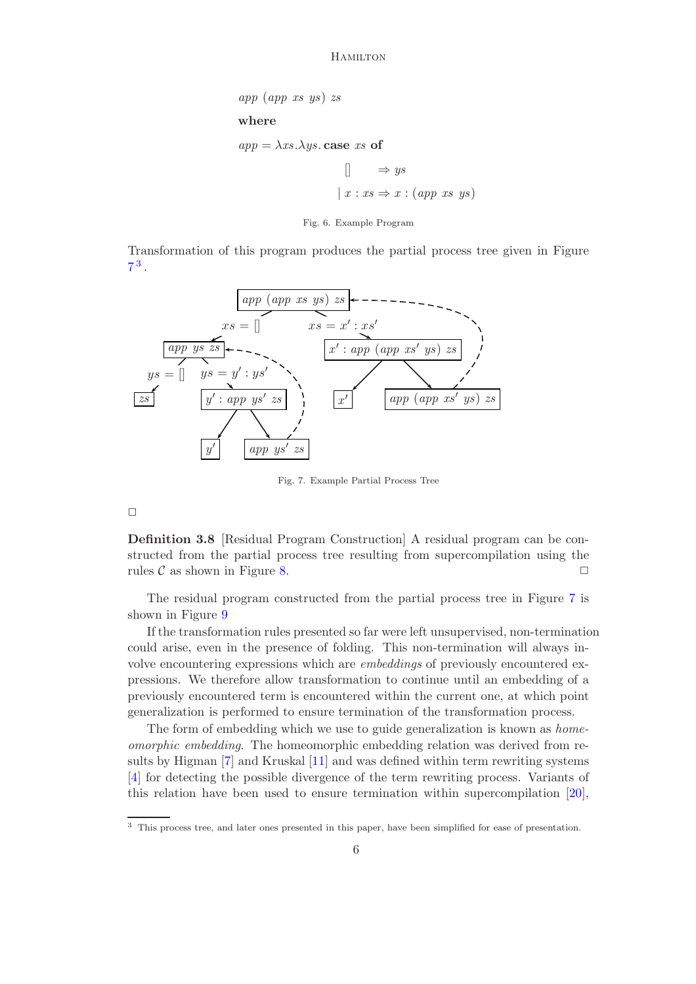$$
app (app xs ys) zs
$$
\nwhere

\n
$$
app = \lambda xs.\lambda ys. case xs of
$$
\n
$$
\begin{array}{ccc}\n & \rightarrow ys \\
 & x : xs \Rightarrow x : (app xs ys)\n\end{array}
$$

<span id="page-5-1"></span>Fig. 6. Example Program

Transformation of this program produces the partial process tree given in Figure  $7^3$  $7^3$  $7^3$  .

<span id="page-5-0"></span>

<span id="page-5-2"></span>Fig. 7. Example Partial Process Tree

 $\Box$ 

Definition 3.8 [Residual Program Construction] A residual program can be constructed from the partial process tree resulting from supercompilation using the rules  $\mathcal C$  as shown in Figure [8.](#page-6-0)  $\Box$ 

The residual program constructed from the partial process tree in Figure [7](#page-5-2) is shown in Figure [9](#page-6-1)

If the transformation rules presented so far were left unsupervised, non-termination could arise, even in the presence of folding. This non-termination will always involve encountering expressions which are embeddings of previously encountered expressions. We therefore allow transformation to continue until an embedding of a previously encountered term is encountered within the current one, at which point generalization is performed to ensure termination of the transformation process.

The form of embedding which we use to guide generalization is known as *home*omorphic embedding. The homeomorphic embedding relation was derived from results by Higman [\[7\]](#page-14-9) and Kruskal [\[11\]](#page-14-10) and was defined within term rewriting systems [\[4\]](#page-14-11) for detecting the possible divergence of the term rewriting process. Variants of this relation have been used to ensure termination within supercompilation [\[20\]](#page-14-8),

<span id="page-5-3"></span><sup>3</sup> This process tree, and later ones presented in this paper, have been simplified for ease of presentation.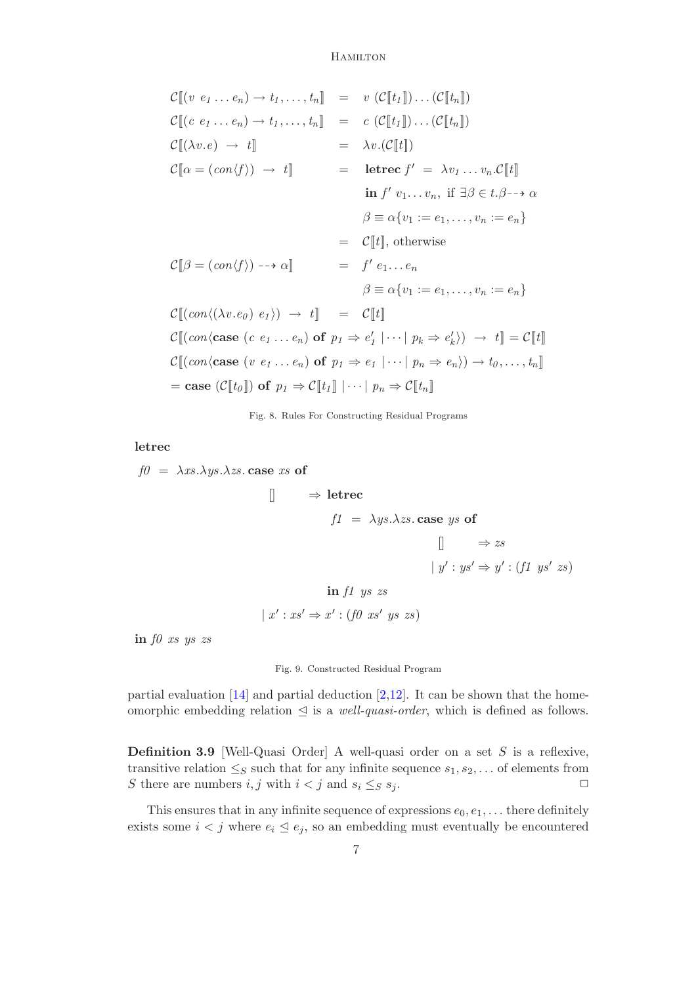$$
\mathcal{C}[\![ (v \ e_1 \ldots e_n) \to t_1, \ldots, t_n ] ] = v (\mathcal{C}[\![t_1]\!]) \ldots (\mathcal{C}[\![t_n]\!])
$$
\n
$$
\mathcal{C}[\![ (c \ e_1 \ldots e_n) \to t_1, \ldots, t_n ] ] = c (\mathcal{C}[\![t_1]\!]) \ldots (\mathcal{C}[\![t_n]\!])
$$
\n
$$
\mathcal{C}[\![ (\lambda v.e) \to t ] ] ] = \lambda v. (\mathcal{C}[\![t]\!])
$$
\n
$$
\mathcal{C}[\![ \alpha = (con\!\! f \rbrace) \to t ] ] = \text{letree } f' = \lambda v_1 \ldots v_n. \mathcal{C}[\![t]\!]
$$
\n
$$
\text{in } f' v_1 \ldots v_n, \text{ if } \exists \beta \in t. \beta \to \alpha
$$
\n
$$
\beta \equiv \alpha \{v_1 := e_1, \ldots, v_n := e_n\}
$$
\n
$$
\mathcal{C}[\![ \beta = (con\!\! f \rbrace) \to \alpha] = f' e_1 \ldots e_n
$$
\n
$$
\beta \equiv \alpha \{v_1 := e_1, \ldots, v_n := e_n\}
$$
\n
$$
\mathcal{C}[\![ (con\!\! (\lambda v.e_0) e_1 \rangle) \to t ] ] = \mathcal{C}[\![t]\!]
$$
\n
$$
\mathcal{C}[\![ (con\!\! (\lambda v.e_0) e_1 \rangle) \to t ] ] = \mathcal{C}[\![t]\!]
$$
\n
$$
\mathcal{C}[\![ (con\!\! (\text{case } (e \ e_1 \ldots e_n) \text{ of } p_1 \Rightarrow e_1' \mid \cdots \mid p_k \Rightarrow e_k \rangle) \to t ] = \mathcal{C}[\![t]\!]
$$
\n
$$
\mathcal{C}[\![ (con\!\! (\text{case } (v \ e_1 \ldots e_n) \text{ of } p_1 \Rightarrow e_1 \mid \cdots \mid p_k \Rightarrow e_k \rangle) \to t_0, \ldots, t_n ] ]
$$
\n
$$
= \text{case } (\mathcal{C}[\![t_0]\!]) \text{ of } p_1 \Rightarrow \mathcal{C}[\![t_1]\!] \mid \cdots \mid p_n \Rightarrow \mathcal{C}[\![t_n]\!]
$$

<span id="page-6-0"></span>Fig. 8. Rules For Constructing Residual Programs

letrec

 $f0 = \lambda xs.\lambda ys.\lambda zs.$  case xs of  $\Box \Rightarrow$  letrec  $f1 = \lambda y s.\lambda z s.\textbf{case } y s \textbf{ of }$  $\Box$   $\Rightarrow$  zs  $| y' : y s' \Rightarrow y' : (f1 \text{ ys' zs})$ in f1 ys zs

 $x': xs' \Rightarrow x': (f0 xs' ys xs)$ 

in  $f0$  xs ys zs

<span id="page-6-1"></span>Fig. 9. Constructed Residual Program

partial evaluation  $[14]$  and partial deduction  $[2,12]$  $[2,12]$ . It can be shown that the homeomorphic embedding relation  $\triangleleft$  is a *well-quasi-order*, which is defined as follows.

**Definition 3.9** [Well-Quasi Order] A well-quasi order on a set  $S$  is a reflexive, transitive relation  $\leq_S$  such that for any infinite sequence  $s_1, s_2, \ldots$  of elements from S there are numbers  $i, j$  with  $i < j$  and  $s_i \leq_S s_j$ .

This ensures that in any infinite sequence of expressions  $e_0, e_1, \ldots$  there definitely exists some  $i < j$  where  $e_i \leq e_j$ , so an embedding must eventually be encountered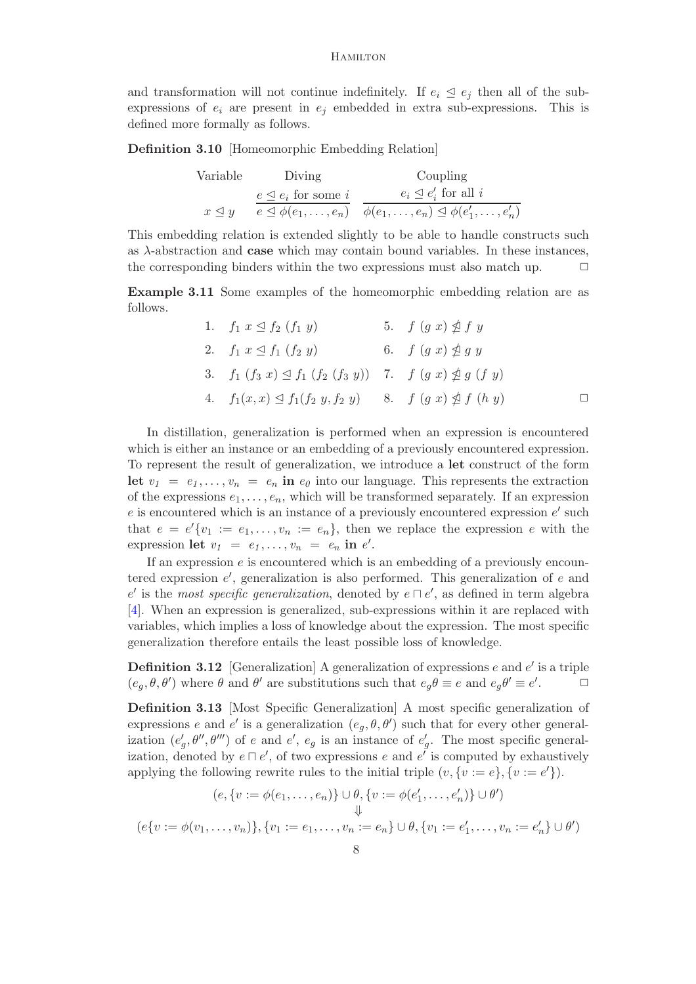and transformation will not continue indefinitely. If  $e_i \leq e_j$  then all of the subexpressions of  $e_i$  are present in  $e_j$  embedded in extra sub-expressions. This is defined more formally as follows.

Definition 3.10 [Homeomorphic Embedding Relation]

| Variable            | Diving                             | Coupling                                                                                                     |
|---------------------|------------------------------------|--------------------------------------------------------------------------------------------------------------|
|                     | $e \trianglelefteq e_i$ for some i | $e_i \trianglelefteq e'_i$ for all i                                                                         |
| $x \triangleleft y$ |                                    | $e \trianglelefteq \phi(e_1, \ldots, e_n)$ $\phi(e_1, \ldots, e_n) \trianglelefteq \phi(e'_1, \ldots, e'_n)$ |

This embedding relation is extended slightly to be able to handle constructs such as  $\lambda$ -abstraction and **case** which may contain bound variables. In these instances, the corresponding binders within the two expressions must also match up.  $\Box$ 

<span id="page-7-0"></span>Example 3.11 Some examples of the homeomorphic embedding relation are as follows.

| 1. $f_1 \ x \trianglelefteq f_2 \ (f_1 \ y)$                      | 5. $f(gx) \ntrianglelefteq f y$ |  |
|-------------------------------------------------------------------|---------------------------------|--|
| 2. $f_1 x \leq f_1 (f_2 y)$                                       | 6. $f(gx) \nleq g y$            |  |
| 3. $f_1(f_3 x) \le f_1(f_2(f_3 y))$ 7. $f(g x) \nleq g(f y)$      |                                 |  |
| 4. $f_1(x,x) \leq f_1(f_2, y, f_2, y)$ 8. $f(g, x) \nleq f(h, y)$ |                                 |  |

In distillation, generalization is performed when an expression is encountered which is either an instance or an embedding of a previously encountered expression. To represent the result of generalization, we introduce a let construct of the form let  $v_1 = e_1, \ldots, v_n = e_n$  in  $e_0$  into our language. This represents the extraction of the expressions  $e_1, \ldots, e_n$ , which will be transformed separately. If an expression  $e$  is encountered which is an instance of a previously encountered expression  $e'$  such that  $e = e^{t} \{v_1 := e_1, \ldots, v_n := e_n\}$ , then we replace the expression e with the expression let  $v_1 = e_1, \ldots, v_n = e_n$  in  $e'$ .

If an expression  $e$  is encountered which is an embedding of a previously encountered expression  $e'$ , generalization is also performed. This generalization of e and e' is the most specific generalization, denoted by  $e \sqcap e'$ , as defined in term algebra [\[4\]](#page-14-11). When an expression is generalized, sub-expressions within it are replaced with variables, which implies a loss of knowledge about the expression. The most specific generalization therefore entails the least possible loss of knowledge.

**Definition 3.12** [Generalization] A generalization of expressions  $e$  and  $e'$  is a triple  $(e_g, \theta, \theta')$  where  $\theta$  and  $\theta'$  are substitutions such that  $e_g\theta \equiv e$  and  $e_g\theta' \equiv e'$  $\Box$ 

Definition 3.13 [Most Specific Generalization] A most specific generalization of expressions e and e' is a generalization  $(e_g, \theta, \theta')$  such that for every other generalization  $(e'_g, \theta'', \theta''')$  of e and e',  $e_g$  is an instance of  $e'_g$ . The most specific generalization, denoted by  $e \sqcap e'$ , of two expressions e and  $e'$  is computed by exhaustively applying the following rewrite rules to the initial triple  $(v, \{v := e\}, \{v := e'\}).$ 

$$
(e, \{v := \phi(e_1, \dots, e_n)\} \cup \theta, \{v := \phi(e'_1, \dots, e'_n)\} \cup \theta')
$$
  

$$
\Downarrow
$$
  

$$
(e\{v := \phi(v_1, \dots, v_n)\}, \{v_1 := e_1, \dots, v_n := e_n\} \cup \theta, \{v_1 := e'_1, \dots, v_n := e'_n\} \cup \theta')
$$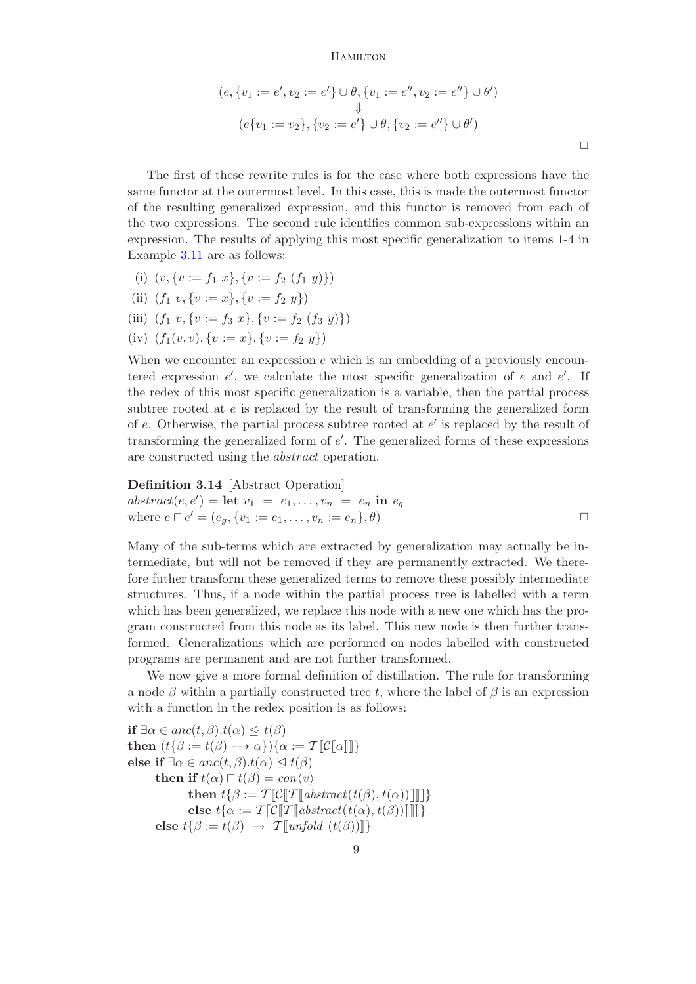$$
(e, \{v_1 := e', v_2 := e'\} \cup \theta, \{v_1 := e'', v_2 := e''\} \cup \theta')
$$
  

$$
\Downarrow
$$
  

$$
(e\{v_1 := v_2\}, \{v_2 := e'\} \cup \theta, \{v_2 := e''\} \cup \theta')
$$

 $\Box$ 

The first of these rewrite rules is for the case where both expressions have the same functor at the outermost level. In this case, this is made the outermost functor of the resulting generalized expression, and this functor is removed from each of the two expressions. The second rule identifies common sub-expressions within an expression. The results of applying this most specific generalization to items 1-4 in Example [3.11](#page-7-0) are as follows:

- (i)  $(v, \{v := f_1 \ x\}, \{v := f_2 \ (f_1 \ y)\})$
- (ii)  $(f_1 v, \{v := x\}, \{v := f_2 y\})$
- (iii)  $(f_1 v, \{v := f_3 x\}, \{v := f_2 (f_3 y)\})$
- (iv)  $(f_1(v, v), \{v := x\}, \{v := f_2 y\})$

When we encounter an expression  $e$  which is an embedding of a previously encountered expression  $e'$ , we calculate the most specific generalization of e and  $e'$ . If the redex of this most specific generalization is a variable, then the partial process subtree rooted at e is replaced by the result of transforming the generalized form of  $e$ . Otherwise, the partial process subtree rooted at  $e'$  is replaced by the result of transforming the generalized form of  $e'$ . The generalized forms of these expressions are constructed using the abstract operation.

**Definition 3.14** [Abstract Operation]  
\n
$$
abstract(e, e') = \text{let } v_1 = e_1, ..., v_n = e_n \text{ in } e_g
$$
\nwhere  $e \sqcap e' = (e_g, \{v_1 := e_1, ..., v_n := e_n\}, \theta)$ 

Many of the sub-terms which are extracted by generalization may actually be intermediate, but will not be removed if they are permanently extracted. We therefore futher transform these generalized terms to remove these possibly intermediate structures. Thus, if a node within the partial process tree is labelled with a term which has been generalized, we replace this node with a new one which has the program constructed from this node as its label. This new node is then further transformed. Generalizations which are performed on nodes labelled with constructed programs are permanent and are not further transformed.

We now give a more formal definition of distillation. The rule for transforming a node  $\beta$  within a partially constructed tree t, where the label of  $\beta$  is an expression with a function in the redex position is as follows:

if  $\exists \alpha \in anc(t,\beta).t(\alpha) \leq t(\beta)$ then  $(t{\beta := t(\beta) \dashrightarrow \alpha}){\alpha := \mathcal{T}}[\mathcal{C}[\![\alpha]\!]]$ else if  $\exists \alpha \in anc(t,\beta).t(\alpha) \leq t(\beta)$ then if  $t(\alpha) \sqcap t(\beta) = con\langle v \rangle$ then  $t\{\beta := \mathcal{T}[\mathcal{C}[\mathcal{T}[\mathit{abstract}(t(\beta), t(\alpha))]]]]\}$ else  $t\{\alpha := \mathcal{T} \llbracket \mathcal{C} \llbracket \mathcal{T} \rrbracket \text{abstract}(t(\alpha), t(\beta)) \rrbracket \rrbracket\}$ else  $t\{\beta := t(\beta) \rightarrow \mathcal{T}[\![\mathit{unfold}(t(\beta))]\!] \}$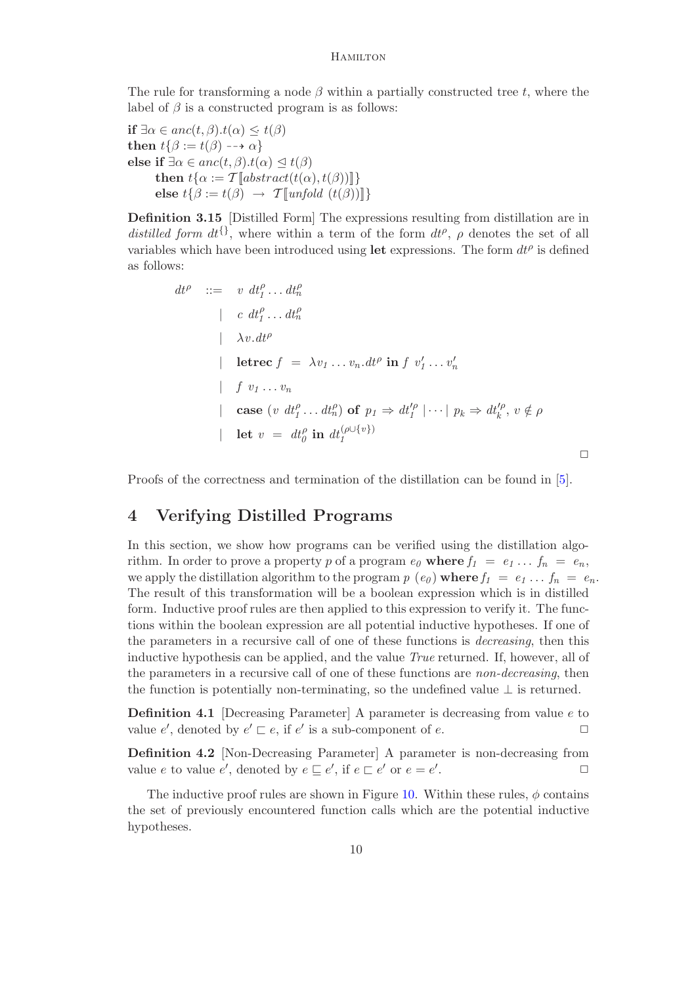The rule for transforming a node  $\beta$  within a partially constructed tree t, where the label of  $\beta$  is a constructed program is as follows:

if  $\exists \alpha \in anc(t,\beta).t(\alpha) \leq t(\beta)$ then  $t\{\beta := t(\beta) \dashrightarrow \alpha\}$ else if  $\exists \alpha \in anc(t,\beta).t(\alpha) \lhd t(\beta)$ then  $t\{\alpha := \mathcal{T}[\text{abstract}(t(\alpha), t(\beta))]\}$ else  $t\{\beta := t(\beta) \rightarrow \mathcal{T}[\text{unfold } (t(\beta))]\}$ 

Definition 3.15 [Distilled Form] The expressions resulting from distillation are in distilled form  $dt^{\{\}}$ , where within a term of the form  $dt^{\rho}$ ,  $\rho$  denotes the set of all variables which have been introduced using let expressions. The form  $dt^{\rho}$  is defined as follows:

$$
dt^{\rho} ::= v dt_1^{\rho} ... dt_n^{\rho}
$$
  
\n
$$
\begin{array}{ccc}\n & \vdots & \vdots & \vdots & \vdots \\
 & \lambda v \cdot dt^{\rho} & & \vdots \\
 & \downarrow \lambda v \cdot dt^{\rho} & & \vdots \\
 & \downarrow \text{there } f = \lambda v_1 ... v_n \cdot dt^{\rho} \text{ in } f v_1' ... v_n' \\
 & \downarrow & f v_1 ... v_n \\
 & \downarrow & \text{case } (v \, dt_1^{\rho} ... dt_n^{\rho}) \text{ of } p_1 \Rightarrow dt_1^{\rho} | \cdots | p_k \Rightarrow dt_k^{\rho}, v \notin \rho \\
 & \downarrow & \text{let } v = dt_0^{\rho} \text{ in } dt_1^{\rho \cup \{v\}}\n \end{array}
$$

Proofs of the correctness and termination of the distillation can be found in [\[5\]](#page-14-1).

# 4 Verifying Distilled Programs

In this section, we show how programs can be verified using the distillation algorithm. In order to prove a property p of a program  $e_0$  where  $f_1 = e_1 \ldots f_n = e_n$ , we apply the distillation algorithm to the program  $p(e_0)$  where  $f_1 = e_1 \ldots f_n = e_n$ . The result of this transformation will be a boolean expression which is in distilled form. Inductive proof rules are then applied to this expression to verify it. The functions within the boolean expression are all potential inductive hypotheses. If one of the parameters in a recursive call of one of these functions is decreasing, then this inductive hypothesis can be applied, and the value True returned. If, however, all of the parameters in a recursive call of one of these functions are non-decreasing, then the function is potentially non-terminating, so the undefined value  $\perp$  is returned.

Definition 4.1 [Decreasing Parameter] A parameter is decreasing from value e to value  $e'$ , denoted by  $e' \sqsubset e$ , if  $e'$  is a sub-component of  $e$ .

Definition 4.2 [Non-Decreasing Parameter] A parameter is non-decreasing from value e to value e', denoted by  $e \sqsubseteq e'$ , if  $e \sqsubset e'$  or  $e = e'$ .  $\Box$ 

The inductive proof rules are shown in Figure [10.](#page-10-0) Within these rules,  $\phi$  contains the set of previously encountered function calls which are the potential inductive hypotheses.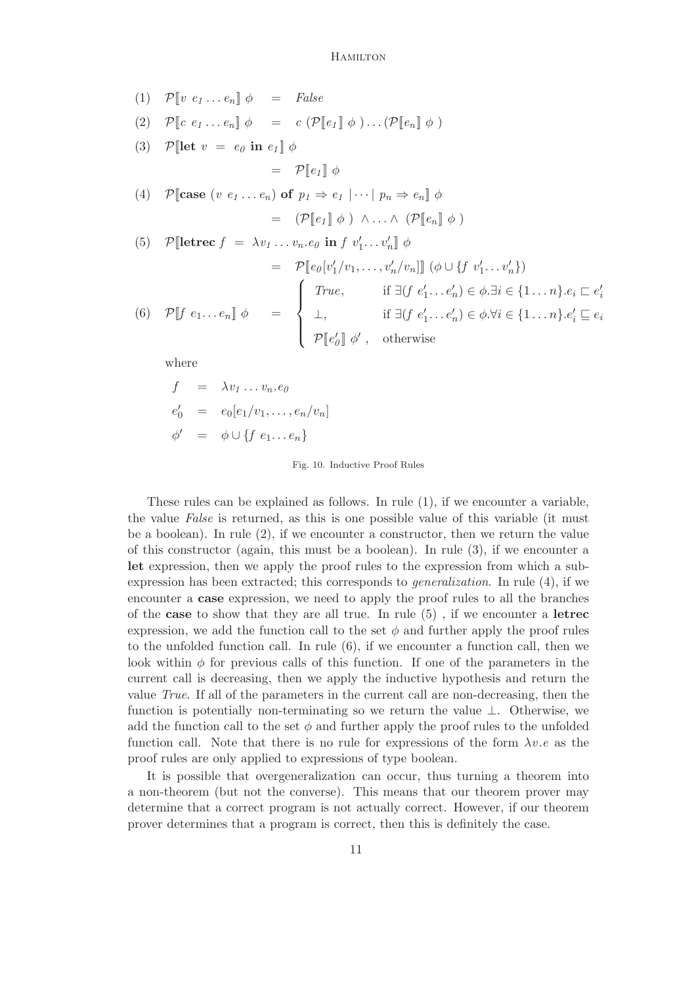(1) 
$$
\mathcal{P}[v e_1...e_n] \phi = False
$$
  
\n(2)  $\mathcal{P}[c e_1...e_n] \phi = c (\mathcal{P}[e_1] \phi) ... (\mathcal{P}[e_n] \phi)$   
\n(3)  $\mathcal{P}[let v = e_0 in e_1] \phi$   
\n $= \mathcal{P}[e_1] \phi$   
\n(4)  $\mathcal{P}[case (v e_1...e_n) \text{ of } p_1 \Rightarrow e_1 | \cdots | p_n \Rightarrow e_n] \phi$   
\n $= (\mathcal{P}[e_1] \phi) \land ... \land (\mathcal{P}[e_n] \phi)$   
\n(5)  $\mathcal{P}[let \text{rec } f = \lambda v_1 ... v_n e_0 in f v'_1 ... v'_n] \phi$   
\n $= \mathcal{P}[e_0[v'_1/v_1, ..., v'_n/v_n]] (\phi \cup \{f v'_1 ... v'_n\})$   
\n $= \begin{cases} True, & \text{if } \exists (f e'_1 ... e'_n) \in \phi . \exists i \in \{1 ... n\}. e_i \subseteq e'_i \\ \bot, & \text{if } \exists (f e'_1 ... e'_n) \in \phi . \forall i \in \{1 ... n\}. e'_i \subseteq e_i \\ \mathcal{P}[e'_0] \phi', & \text{otherwise} \end{cases}$ 

where

$$
f = \lambda v_1 \dots v_n \cdot e_0
$$
  
\n
$$
e'_0 = e_0[e_1/v_1, \dots, e_n/v_n]
$$
  
\n
$$
\phi' = \phi \cup \{f \ e_1 \dots e_n\}
$$

#### <span id="page-10-0"></span>Fig. 10. Inductive Proof Rules

These rules can be explained as follows. In rule (1), if we encounter a variable, the value False is returned, as this is one possible value of this variable (it must be a boolean). In rule  $(2)$ , if we encounter a constructor, then we return the value of this constructor (again, this must be a boolean). In rule (3), if we encounter a let expression, then we apply the proof rules to the expression from which a subexpression has been extracted; this corresponds to generalization. In rule (4), if we encounter a case expression, we need to apply the proof rules to all the branches of the case to show that they are all true. In rule  $(5)$ , if we encounter a letrec expression, we add the function call to the set  $\phi$  and further apply the proof rules to the unfolded function call. In rule (6), if we encounter a function call, then we look within  $\phi$  for previous calls of this function. If one of the parameters in the current call is decreasing, then we apply the inductive hypothesis and return the value True. If all of the parameters in the current call are non-decreasing, then the function is potentially non-terminating so we return the value ⊥. Otherwise, we add the function call to the set  $\phi$  and further apply the proof rules to the unfolded function call. Note that there is no rule for expressions of the form  $\lambda v.e$  as the proof rules are only applied to expressions of type boolean.

It is possible that overgeneralization can occur, thus turning a theorem into a non-theorem (but not the converse). This means that our theorem prover may determine that a correct program is not actually correct. However, if our theorem prover determines that a program is correct, then this is definitely the case.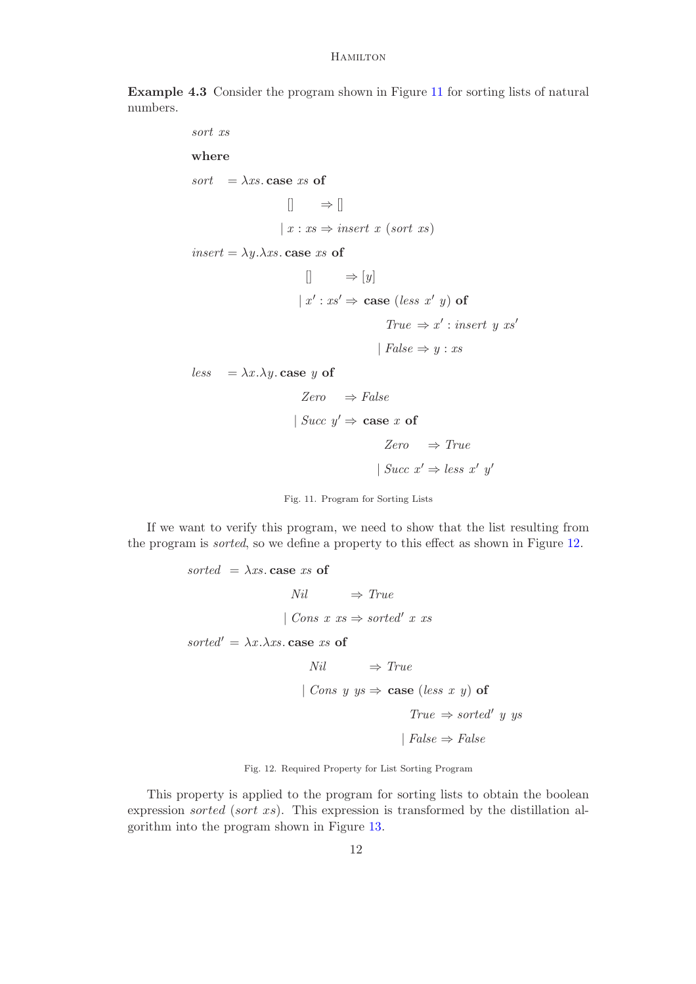Example 4.3 Consider the program shown in Figure [11](#page-11-0) for sorting lists of natural numbers.

> sort xs where sort =  $\lambda xs$  case xs of  $\Box \Rightarrow \Box$  $|x:xs \Rightarrow insert\ x\ (sort\ xs)$ insert =  $\lambda y.\lambda xs.$  case xs of  $\Box$   $\Rightarrow$  [y]  $x': s' \Rightarrow \text{case} (less x' y) \text{ of }$  $True \Rightarrow x' : insert \ y \ xs'$ | False  $\Rightarrow$  y : xs less =  $\lambda x.\lambda y$ . case y of  $Zero \Rightarrow False$ | Succ  $y' \Rightarrow$  case x of  $Zero \Rightarrow True$

> > | Succ  $x' \Rightarrow less \ x' \ y'$

<span id="page-11-0"></span>

If we want to verify this program, we need to show that the list resulting from the program is sorted, so we define a property to this effect as shown in Figure [12.](#page-11-1)

```
sorted =\lambda xs case xs of
                             Nil \Rightarrow True| Cons x \text{ } xs \Rightarrow sorted' \text{ } x \text{ } xssorted' = \lambda x.\lambda xs. case xs of
                                  Nil \Rightarrow True| Cons y ys \Rightarrow case (less x y) of
                                                              True \Rightarrow sorted' \text{ } u \text{ } vs\text{False} \Rightarrow \text{False}
```
<span id="page-11-1"></span>Fig. 12. Required Property for List Sorting Program

This property is applied to the program for sorting lists to obtain the boolean expression sorted (sort xs). This expression is transformed by the distillation algorithm into the program shown in Figure [13.](#page-12-0)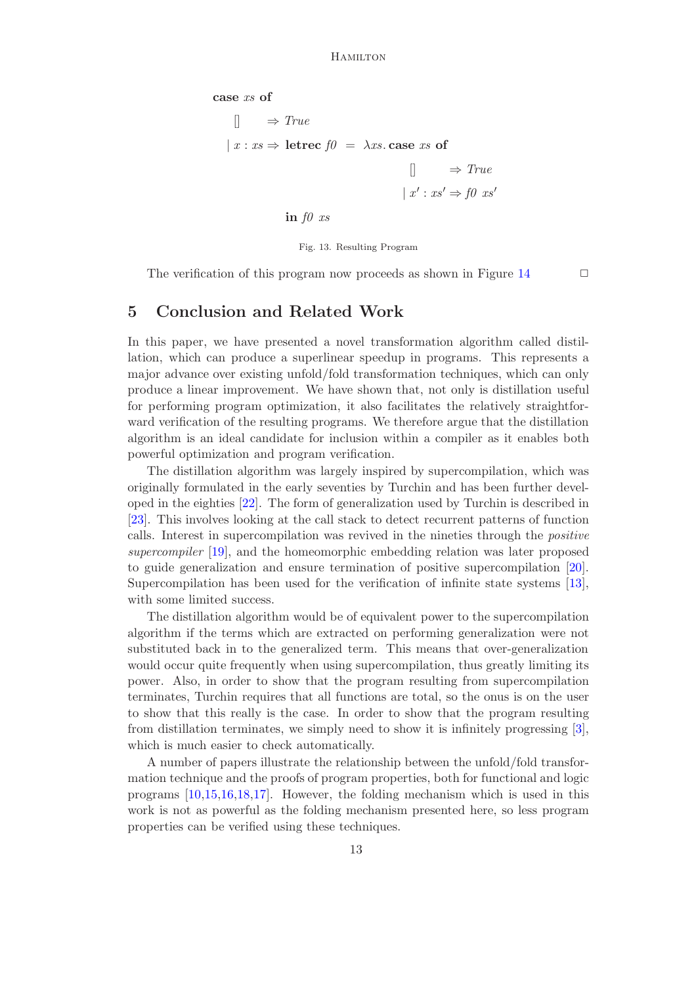```
case xs of
     \Box \Rightarrow True\vert x : xs \Rightarrow letrec f\theta = \lambda xs case xs of
                                                    \Box \Rightarrow True\vert x' : xs' \Rightarrow f0 \; xs'in f0 xs
```
<span id="page-12-0"></span>Fig. 13. Resulting Program

The verification of this program now proceeds as shown in Figure [14](#page-13-0)  $\Box$ 

## 5 Conclusion and Related Work

In this paper, we have presented a novel transformation algorithm called distillation, which can produce a superlinear speedup in programs. This represents a major advance over existing unfold/fold transformation techniques, which can only produce a linear improvement. We have shown that, not only is distillation useful for performing program optimization, it also facilitates the relatively straightforward verification of the resulting programs. We therefore argue that the distillation algorithm is an ideal candidate for inclusion within a compiler as it enables both powerful optimization and program verification.

The distillation algorithm was largely inspired by supercompilation, which was originally formulated in the early seventies by Turchin and has been further developed in the eighties [\[22\]](#page-14-4). The form of generalization used by Turchin is described in [\[23\]](#page-14-15). This involves looking at the call stack to detect recurrent patterns of function calls. Interest in supercompilation was revived in the nineties through the positive supercompiler [\[19\]](#page-14-5), and the homeomorphic embedding relation was later proposed to guide generalization and ensure termination of positive supercompilation [\[20\]](#page-14-8). Supercompilation has been used for the verification of infinite state systems [\[13\]](#page-14-16), with some limited success.

The distillation algorithm would be of equivalent power to the supercompilation algorithm if the terms which are extracted on performing generalization were not substituted back in to the generalized term. This means that over-generalization would occur quite frequently when using supercompilation, thus greatly limiting its power. Also, in order to show that the program resulting from supercompilation terminates, Turchin requires that all functions are total, so the onus is on the user to show that this really is the case. In order to show that the program resulting from distillation terminates, we simply need to show it is infinitely progressing [\[3\]](#page-14-17), which is much easier to check automatically.

A number of papers illustrate the relationship between the unfold/fold transformation technique and the proofs of program properties, both for functional and logic programs [\[10,](#page-14-18)[15,](#page-14-19)[16,](#page-14-20)[18,](#page-14-21)[17\]](#page-14-22). However, the folding mechanism which is used in this work is not as powerful as the folding mechanism presented here, so less program properties can be verified using these techniques.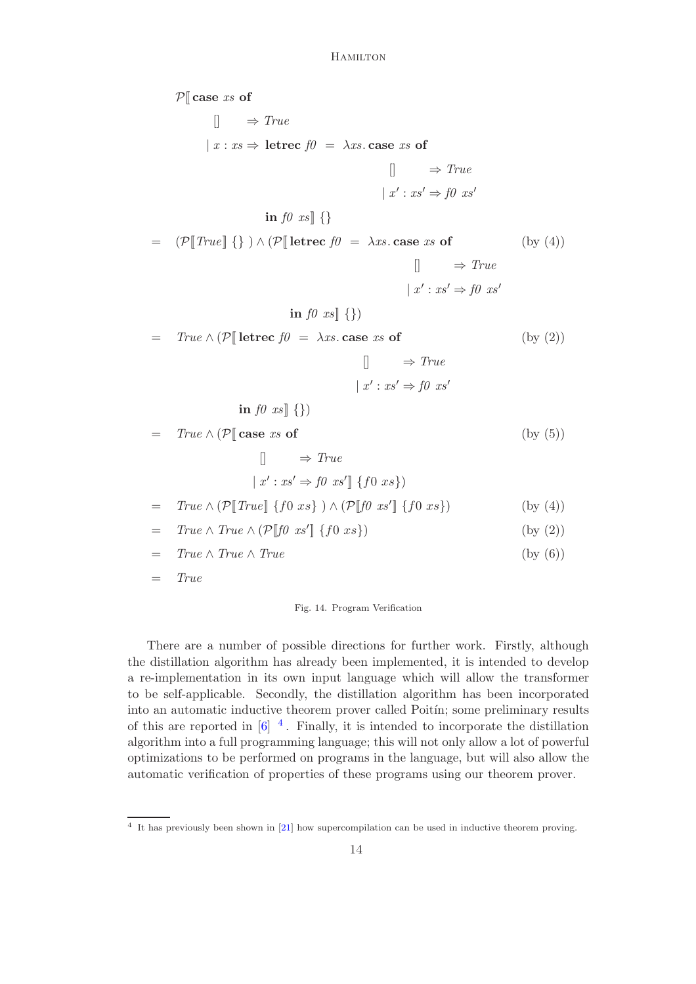$P[$  case xs of  $\Box \Rightarrow True$  $|x:xs \Rightarrow$  letrec  $f0 = \lambda xs$  case xs of  $\Box \Rightarrow True$  $\vert x' : xs' \Rightarrow f0 \; xs'$ in  $f0$  xs  $\vert \{ \}$  $\mathcal{P}[True]$  {} )  $\wedge$  ( $\mathcal{P}[$  letrec  $f0 = \lambda xs$  case xs of  $\Box \Rightarrow True$  $\vert x' : xs' \Rightarrow f0 \; xs'$ in  $f0$   $xs$  {})  $(by (4))$  $= True \wedge (\mathcal{P} \parallel \text{letrec } f0 = \lambda xs \text{. case } xs \text{ of }$  $\Box \Rightarrow True$  $\vert x' : xs' \Rightarrow f0 \; xs'$ in  $f0$   $xs$   $\{\}\$ (by (2))  $= True \wedge (\mathcal{P} \vert \text{ case } xs \text{ of }$  $\Box \Rightarrow True$  $x': xs' \Rightarrow f0 xs' \rbrack \{f0 xs\})$ (by (5)) =  $True \wedge (\mathcal{P}[[True]] \{f0 xs\}) \wedge (\mathcal{P}[[f0 xs']] \{f0 xs\})$  (by (4))  $= True \wedge True \wedge (\mathcal{P}[[f0 xs']] \{f0 xs\})$  (by (2))  $= True \wedge True \wedge True$  (by (6))  $=$   $True$ 

#### <span id="page-13-0"></span>Fig. 14. Program Verification

There are a number of possible directions for further work. Firstly, although the distillation algorithm has already been implemented, it is intended to develop a re-implementation in its own input language which will allow the transformer to be self-applicable. Secondly, the distillation algorithm has been incorporated into an automatic inductive theorem prover called Poitin; some preliminary results of this are reported in  $\left[6\right]$ <sup>[4](#page-13-1)</sup>. Finally, it is intended to incorporate the distillation algorithm into a full programming language; this will not only allow a lot of powerful optimizations to be performed on programs in the language, but will also allow the automatic verification of properties of these programs using our theorem prover.

<span id="page-13-1"></span><sup>&</sup>lt;sup>4</sup> It has previously been shown in [\[21\]](#page-14-24) how supercompilation can be used in inductive theorem proving.